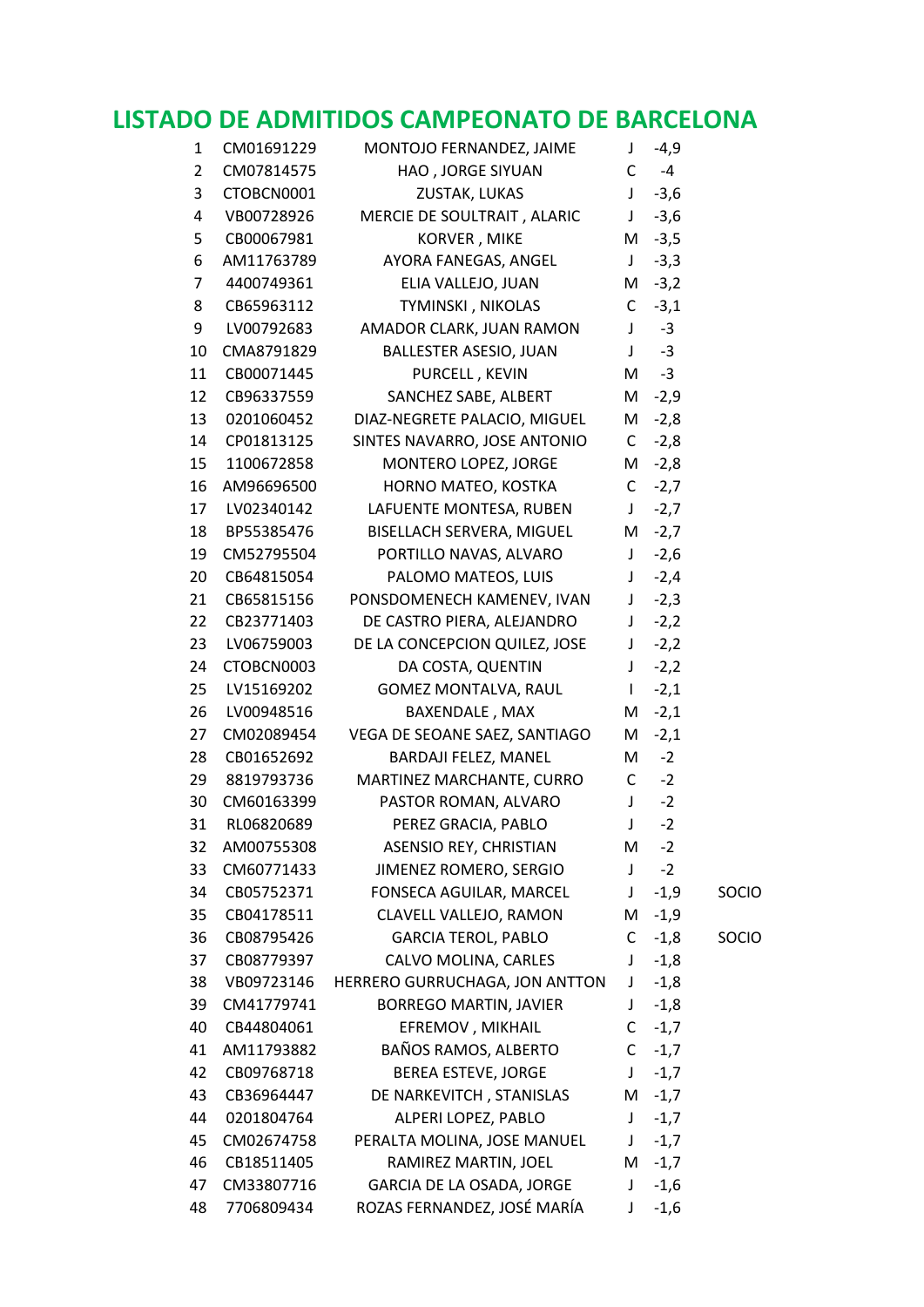## **LISTADO DE ADMITIDOS CAMPEONATO DE BARCELONA**

| 1              | CM01691229 | MONTOJO FERNANDEZ, JAIME       | J              | $-4,9$   |       |
|----------------|------------|--------------------------------|----------------|----------|-------|
| $\overline{2}$ | CM07814575 | HAO, JORGE SIYUAN              | C              | -4       |       |
| 3              | CTOBCN0001 | ZUSTAK, LUKAS                  | J              | $-3,6$   |       |
| 4              | VB00728926 | MERCIE DE SOULTRAIT, ALARIC    | J              | $-3,6$   |       |
| 5              | CB00067981 | KORVER, MIKE                   |                | $M -3,5$ |       |
| 6              | AM11763789 | AYORA FANEGAS, ANGEL           | $\mathsf{J}^-$ | $-3,3$   |       |
| 7              | 4400749361 | ELIA VALLEJO, JUAN             | M              | $-3,2$   |       |
| 8              | CB65963112 | TYMINSKI, NIKOLAS              | $\mathsf{C}$   | $-3,1$   |       |
| 9              | LV00792683 | AMADOR CLARK, JUAN RAMON       | J              | $-3$     |       |
| 10             | CMA8791829 | BALLESTER ASESIO, JUAN         | J              | $-3$     |       |
| 11             | CB00071445 | PURCELL, KEVIN                 | M              | $-3$     |       |
| 12             | CB96337559 | SANCHEZ SABE, ALBERT           | M              | $-2,9$   |       |
| 13             | 0201060452 | DIAZ-NEGRETE PALACIO, MIGUEL   | M              | $-2,8$   |       |
| 14             | CP01813125 | SINTES NAVARRO, JOSE ANTONIO   |                | $C -2,8$ |       |
| 15             | 1100672858 | MONTERO LOPEZ, JORGE           | M              | $-2,8$   |       |
| 16             | AM96696500 | HORNO MATEO, KOSTKA            | $\mathsf{C}$   | $-2,7$   |       |
| 17             | LV02340142 | LAFUENTE MONTESA, RUBEN        | J              | $-2,7$   |       |
| 18             | BP55385476 | BISELLACH SERVERA, MIGUEL      |                | $M -2,7$ |       |
| 19             | CM52795504 | PORTILLO NAVAS, ALVARO         | $\mathsf{J}$   | $-2,6$   |       |
| 20             | CB64815054 | PALOMO MATEOS, LUIS            | J              | $-2,4$   |       |
| 21             | CB65815156 | PONSDOMENECH KAMENEV, IVAN     | J              | $-2,3$   |       |
| 22             | CB23771403 | DE CASTRO PIERA, ALEJANDRO     | J              | $-2,2$   |       |
| 23             | LV06759003 | DE LA CONCEPCION QUILEZ, JOSE  | J              | $-2,2$   |       |
| 24             | CTOBCN0003 | DA COSTA, QUENTIN              | $\mathsf{J}$   | $-2,2$   |       |
| 25             | LV15169202 | GOMEZ MONTALVA, RAUL           | $\mathbf{I}$   | $-2,1$   |       |
| 26             | LV00948516 | BAXENDALE, MAX                 | M              | $-2,1$   |       |
| 27             | CM02089454 | VEGA DE SEOANE SAEZ, SANTIAGO  | M              | $-2,1$   |       |
| 28             | CB01652692 | BARDAJI FELEZ, MANEL           | M              | $-2$     |       |
| 29             | 8819793736 | MARTINEZ MARCHANTE, CURRO      | $\mathsf{C}$   | $-2$     |       |
| 30             | CM60163399 | PASTOR ROMAN, ALVARO           | $\mathsf J$    | $-2$     |       |
| 31             | RL06820689 | PEREZ GRACIA, PABLO            | $\perp$        | $-2$     |       |
| 32             | AM00755308 | ASENSIO REY, CHRISTIAN         | M              | $-2$     |       |
| 33             | CM60771433 | JIMENEZ ROMERO, SERGIO         | $\mathsf J$    | $-2$     |       |
| 34             | CB05752371 | FONSECA AGUILAR, MARCEL        | $\mathsf{J}^-$ | $-1,9$   | SOCIO |
| 35             | CB04178511 | CLAVELL VALLEJO, RAMON         | M              | $-1,9$   |       |
| 36             | CB08795426 | <b>GARCIA TEROL, PABLO</b>     | $\mathsf{C}$   | $-1,8$   | SOCIO |
| 37             | CB08779397 | CALVO MOLINA, CARLES           | J              | $-1,8$   |       |
| 38             | VB09723146 | HERRERO GURRUCHAGA, JON ANTTON | J              | $-1,8$   |       |
| 39             | CM41779741 | <b>BORREGO MARTIN, JAVIER</b>  | J              | $-1,8$   |       |
| 40             | CB44804061 | EFREMOV, MIKHAIL               | C.             | $-1,7$   |       |
| 41             | AM11793882 | BAÑOS RAMOS, ALBERTO           | C              | $-1,7$   |       |
| 42             | CB09768718 | <b>BEREA ESTEVE, JORGE</b>     | J              | $-1,7$   |       |
| 43             | CB36964447 | DE NARKEVITCH, STANISLAS       | M              | $-1,7$   |       |
| 44             | 0201804764 | ALPERI LOPEZ, PABLO            | $\mathsf{J}^-$ | $-1,7$   |       |
| 45             | CM02674758 | PERALTA MOLINA, JOSE MANUEL    | $\mathsf{J}$   | $-1,7$   |       |
| 46             | CB18511405 | RAMIREZ MARTIN, JOEL           | M              | $-1,7$   |       |
| 47             | CM33807716 | GARCIA DE LA OSADA, JORGE      | J              | $-1,6$   |       |
| 48             | 7706809434 | ROZAS FERNANDEZ, JOSÉ MARÍA    | J              | $-1,6$   |       |
|                |            |                                |                |          |       |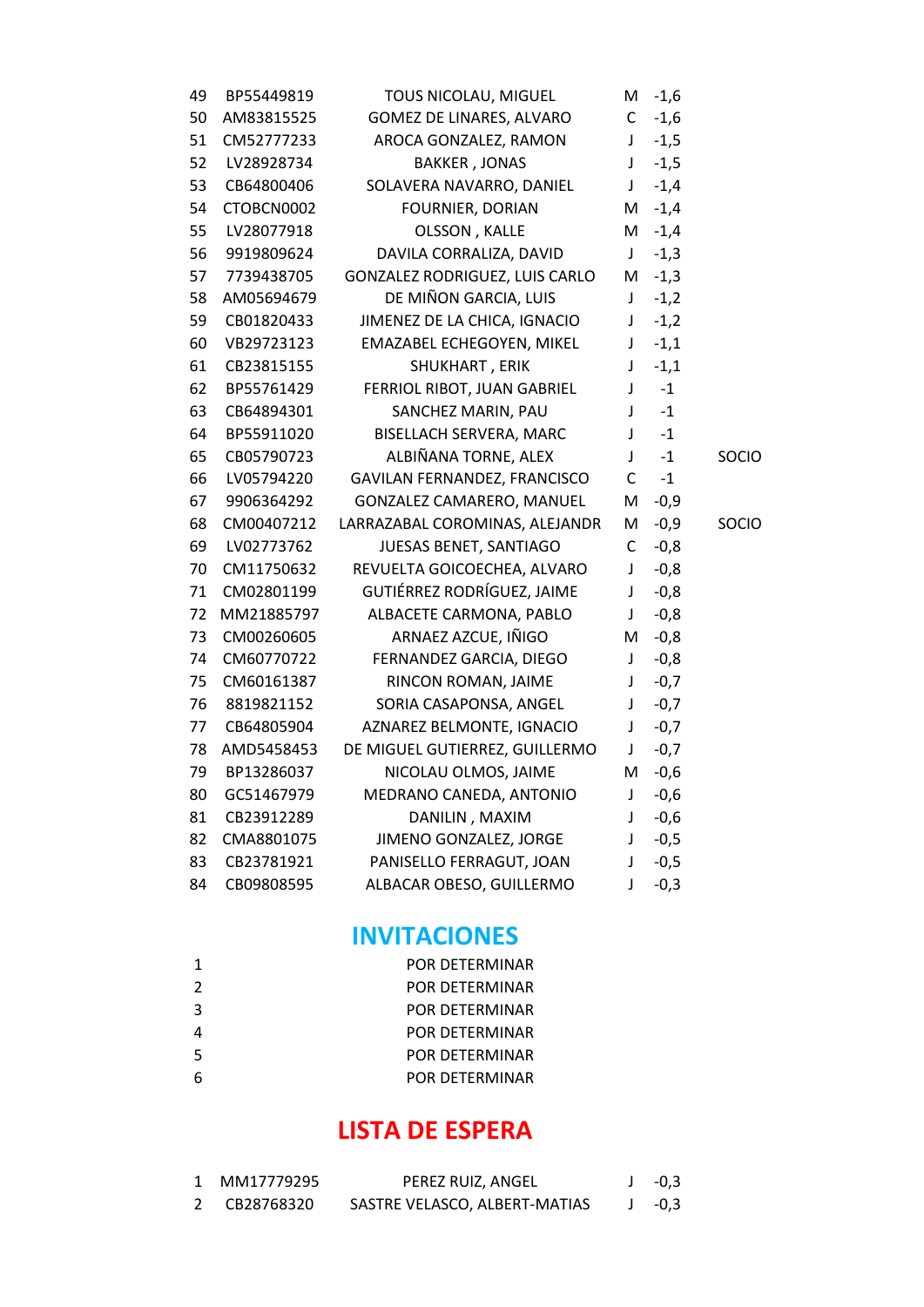| BP55449819 | TOUS NICOLAU, MIGUEL           | M            | $-1,6$ |              |
|------------|--------------------------------|--------------|--------|--------------|
| AM83815525 | GOMEZ DE LINARES, ALVARO       | C            | $-1,6$ |              |
| CM52777233 | AROCA GONZALEZ, RAMON          | J            | $-1,5$ |              |
| LV28928734 | <b>BAKKER, JONAS</b>           | J            | $-1,5$ |              |
| CB64800406 | SOLAVERA NAVARRO, DANIEL       | J            | $-1,4$ |              |
| CTOBCN0002 | <b>FOURNIER, DORIAN</b>        | Μ            | $-1,4$ |              |
| LV28077918 | OLSSON, KALLE                  | м            | $-1,4$ |              |
| 9919809624 | DAVILA CORRALIZA, DAVID        | J            | $-1,3$ |              |
| 7739438705 | GONZALEZ RODRIGUEZ, LUIS CARLO | M            | $-1,3$ |              |
| AM05694679 | DE MIÑON GARCIA, LUIS          | J            | $-1,2$ |              |
| CB01820433 | JIMENEZ DE LA CHICA, IGNACIO   | $\mathsf J$  | $-1,2$ |              |
| VB29723123 | EMAZABEL ECHEGOYEN, MIKEL      | $\mathsf J$  | $-1,1$ |              |
| CB23815155 | SHUKHART, ERIK                 | $\mathsf J$  | $-1,1$ |              |
| BP55761429 | FERRIOL RIBOT, JUAN GABRIEL    | $\mathsf J$  | $-1$   |              |
| CB64894301 | SANCHEZ MARIN, PAU             | $\mathsf J$  | $-1$   |              |
| BP55911020 | <b>BISELLACH SERVERA, MARC</b> | $\mathsf{I}$ | $-1$   |              |
| CB05790723 | ALBIÑANA TORNE, ALEX           | $\mathsf J$  | $-1$   | SOCIO        |
| LV05794220 | GAVILAN FERNANDEZ, FRANCISCO   | $\mathsf C$  | $-1$   |              |
| 9906364292 | GONZALEZ CAMARERO, MANUEL      | M            | $-0,9$ |              |
| CM00407212 | LARRAZABAL COROMINAS, ALEJANDR | Μ            | $-0,9$ | <b>SOCIO</b> |
| LV02773762 | JUESAS BENET, SANTIAGO         | C            | $-0,8$ |              |
| CM11750632 | REVUELTA GOICOECHEA, ALVARO    | J            | $-0,8$ |              |
| CM02801199 | GUTIÉRREZ RODRÍGUEZ, JAIME     | $\mathsf J$  | $-0,8$ |              |
| MM21885797 | ALBACETE CARMONA, PABLO        | $\mathsf J$  | $-0,8$ |              |
| CM00260605 | ARNAEZ AZCUE, IÑIGO            | M            | $-0,8$ |              |
| CM60770722 | FERNANDEZ GARCIA, DIEGO        | $\mathsf J$  | $-0,8$ |              |
| CM60161387 | RINCON ROMAN, JAIME            | $\mathsf J$  | $-0,7$ |              |
| 8819821152 | SORIA CASAPONSA, ANGEL         | $\mathsf J$  | $-0,7$ |              |
| CB64805904 | AZNAREZ BELMONTE, IGNACIO      | $\mathsf J$  | $-0,7$ |              |
| AMD5458453 | DE MIGUEL GUTIERREZ, GUILLERMO | $\mathsf J$  | $-0,7$ |              |
| BP13286037 | NICOLAU OLMOS, JAIME           | M            | $-0,6$ |              |
| GC51467979 | MEDRANO CANEDA, ANTONIO        | J            | $-0,6$ |              |
| CB23912289 | DANILIN, MAXIM                 | J            | $-0,6$ |              |
| CMA8801075 | JIMENO GONZALEZ, JORGE         | $\mathsf J$  | $-0,5$ |              |
| CB23781921 | PANISELLO FERRAGUT, JOAN       | $\mathsf J$  | $-0,5$ |              |
| CB09808595 | ALBACAR OBESO, GUILLERMO       | J            | $-0,3$ |              |
|            |                                |              |        |              |

## **INVITACIONES**

| -1            | POR DETERMINAR        |
|---------------|-----------------------|
| $\mathcal{L}$ | POR DETERMINAR        |
| 3             | POR DETERMINAR        |
|               | <b>POR DETERMINAR</b> |
| -5            | POR DETERMINAR        |
| 6             | POR DETERMINAR        |

## **LISTA DE ESPERA**

| 1 MM17779295 | PEREZ RUIZ, ANGEL             | $J -0.3$ |
|--------------|-------------------------------|----------|
| 2 CB28768320 | SASTRE VELASCO, ALBERT-MATIAS | $-0.3$   |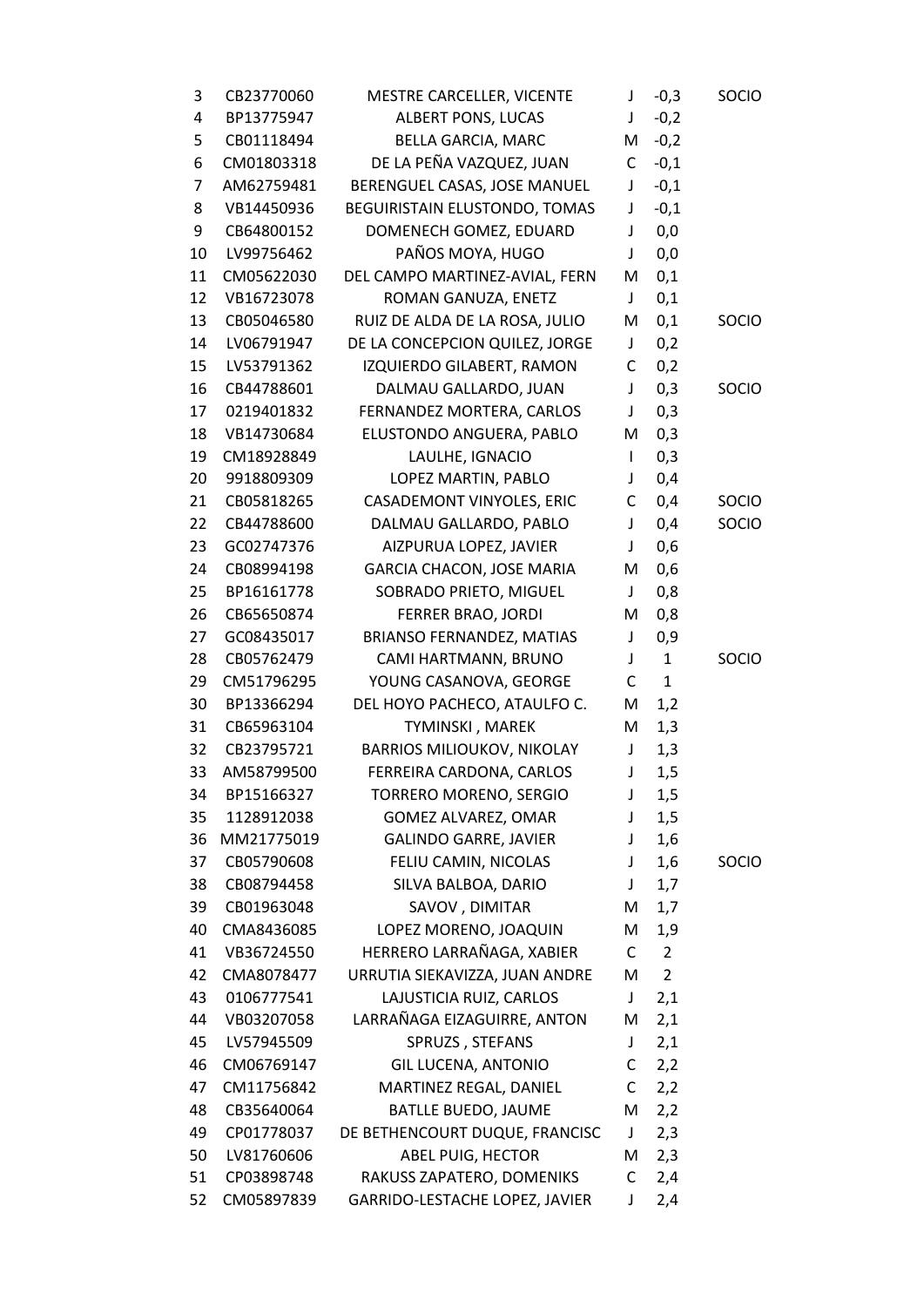| 3  | CB23770060 | MESTRE CARCELLER, VICENTE         | J            | $-0,3$         | SOCIO        |
|----|------------|-----------------------------------|--------------|----------------|--------------|
| 4  | BP13775947 | ALBERT PONS, LUCAS                | J            | $-0,2$         |              |
| 5  | CB01118494 | <b>BELLA GARCIA, MARC</b>         | Μ            | $-0,2$         |              |
| 6  | CM01803318 | DE LA PEÑA VAZQUEZ, JUAN          | C            | $-0,1$         |              |
| 7  | AM62759481 | BERENGUEL CASAS, JOSE MANUEL      | J            | $-0,1$         |              |
| 8  | VB14450936 | BEGUIRISTAIN ELUSTONDO, TOMAS     | J            | $-0,1$         |              |
| 9  | CB64800152 | DOMENECH GOMEZ, EDUARD            | J            | 0,0            |              |
| 10 | LV99756462 | PAÑOS MOYA, HUGO                  | J            | 0,0            |              |
| 11 | CM05622030 | DEL CAMPO MARTINEZ-AVIAL, FERN    | M            | 0,1            |              |
| 12 | VB16723078 | ROMAN GANUZA, ENETZ               | $\mathsf J$  | 0,1            |              |
| 13 | CB05046580 | RUIZ DE ALDA DE LA ROSA, JULIO    | M            | 0,1            | <b>SOCIO</b> |
| 14 | LV06791947 | DE LA CONCEPCION QUILEZ, JORGE    | J            | 0,2            |              |
| 15 | LV53791362 | IZQUIERDO GILABERT, RAMON         | С            | 0,2            |              |
| 16 | CB44788601 | DALMAU GALLARDO, JUAN             | J            | 0,3            | SOCIO        |
| 17 | 0219401832 | FERNANDEZ MORTERA, CARLOS         | J            | 0,3            |              |
| 18 | VB14730684 | ELUSTONDO ANGUERA, PABLO          | M            | 0,3            |              |
| 19 | CM18928849 | LAULHE, IGNACIO                   | $\mathsf{I}$ | 0,3            |              |
| 20 | 9918809309 | LOPEZ MARTIN, PABLO               | J            | 0,4            |              |
| 21 | CB05818265 | CASADEMONT VINYOLES, ERIC         | С            | 0,4            | SOCIO        |
| 22 | CB44788600 | DALMAU GALLARDO, PABLO            | J            | 0,4            | SOCIO        |
| 23 | GC02747376 | AIZPURUA LOPEZ, JAVIER            | J            | 0,6            |              |
| 24 | CB08994198 | GARCIA CHACON, JOSE MARIA         | M            | 0,6            |              |
| 25 | BP16161778 | SOBRADO PRIETO, MIGUEL            | J            | 0,8            |              |
| 26 | CB65650874 | FERRER BRAO, JORDI                | M            | 0,8            |              |
| 27 | GC08435017 | <b>BRIANSO FERNANDEZ, MATIAS</b>  | J            | 0,9            |              |
| 28 | CB05762479 | CAMI HARTMANN, BRUNO              | J            | $\mathbf{1}$   | SOCIO        |
| 29 | CM51796295 | YOUNG CASANOVA, GEORGE            | C            | $\mathbf{1}$   |              |
| 30 | BP13366294 | DEL HOYO PACHECO, ATAULFO C.      | Μ            | 1,2            |              |
| 31 | CB65963104 | TYMINSKI, MAREK                   | M            | 1,3            |              |
| 32 | CB23795721 | <b>BARRIOS MILIOUKOV, NIKOLAY</b> | J            | 1,3            |              |
| 33 | AM58799500 | FERREIRA CARDONA, CARLOS          | J            | 1,5            |              |
| 34 | BP15166327 | TORRERO MORENO, SERGIO            | J            | 1,5            |              |
| 35 | 1128912038 | <b>GOMEZ ALVAREZ, OMAR</b>        | J            | 1,5            |              |
| 36 | MM21775019 | <b>GALINDO GARRE, JAVIER</b>      | J            | 1,6            |              |
| 37 | CB05790608 | FELIU CAMIN, NICOLAS              | J            | 1,6            | SOCIO        |
| 38 | CB08794458 | SILVA BALBOA, DARIO               | J            | 1,7            |              |
| 39 | CB01963048 | SAVOV, DIMITAR                    | M            | 1,7            |              |
| 40 | CMA8436085 | LOPEZ MORENO, JOAQUIN             | Μ            | 1,9            |              |
| 41 | VB36724550 | HERRERO LARRAÑAGA, XABIER         | C            | $\overline{2}$ |              |
| 42 | CMA8078477 | URRUTIA SIEKAVIZZA, JUAN ANDRE    | M            | $\overline{2}$ |              |
| 43 | 0106777541 | LAJUSTICIA RUIZ, CARLOS           | J            | 2,1            |              |
| 44 | VB03207058 | LARRAÑAGA EIZAGUIRRE, ANTON       | M            | 2,1            |              |
| 45 | LV57945509 | SPRUZS, STEFANS                   | J            | 2,1            |              |
| 46 | CM06769147 | <b>GIL LUCENA, ANTONIO</b>        | C            | 2,2            |              |
| 47 | CM11756842 | MARTINEZ REGAL, DANIEL            | C            | 2,2            |              |
| 48 | CB35640064 | BATLLE BUEDO, JAUME               | M            | 2,2            |              |
| 49 | CP01778037 | DE BETHENCOURT DUQUE, FRANCISC    | J            | 2,3            |              |
| 50 | LV81760606 | ABEL PUIG, HECTOR                 | Μ            | 2,3            |              |
| 51 | CP03898748 | RAKUSS ZAPATERO, DOMENIKS         | C            | 2,4            |              |
| 52 | CM05897839 | GARRIDO-LESTACHE LOPEZ, JAVIER    | J            | 2,4            |              |
|    |            |                                   |              |                |              |